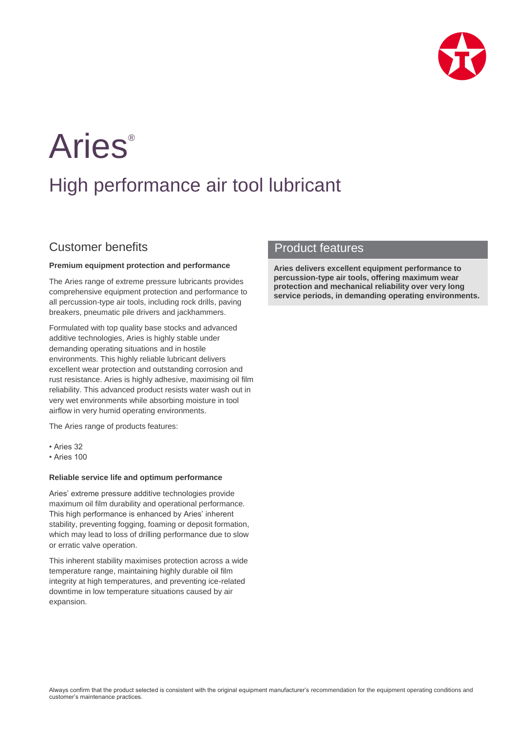

# **Aries**®

# High performance air tool lubricant

## Customer benefits

#### **Premium equipment protection and performance**

The Aries range of extreme pressure lubricants provides comprehensive equipment protection and performance to all percussion-type air tools, including rock drills, paving breakers, pneumatic pile drivers and jackhammers.

Formulated with top quality base stocks and advanced additive technologies, Aries is highly stable under demanding operating situations and in hostile environments. This highly reliable lubricant delivers excellent wear protection and outstanding corrosion and rust resistance. Aries is highly adhesive, maximising oil film reliability. This advanced product resists water wash out in very wet environments while absorbing moisture in tool airflow in very humid operating environments.

The Aries range of products features:

- Aries 32
- Aries 100

#### **Reliable service life and optimum performance**

Aries' extreme pressure additive technologies provide maximum oil film durability and operational performance. This high performance is enhanced by Aries' inherent stability, preventing fogging, foaming or deposit formation, which may lead to loss of drilling performance due to slow or erratic valve operation.

This inherent stability maximises protection across a wide temperature range, maintaining highly durable oil film integrity at high temperatures, and preventing ice-related downtime in low temperature situations caused by air expansion.

### Product features

**Aries delivers excellent equipment performance to percussion-type air tools, offering maximum wear protection and mechanical reliability over very long service periods, in demanding operating environments.**